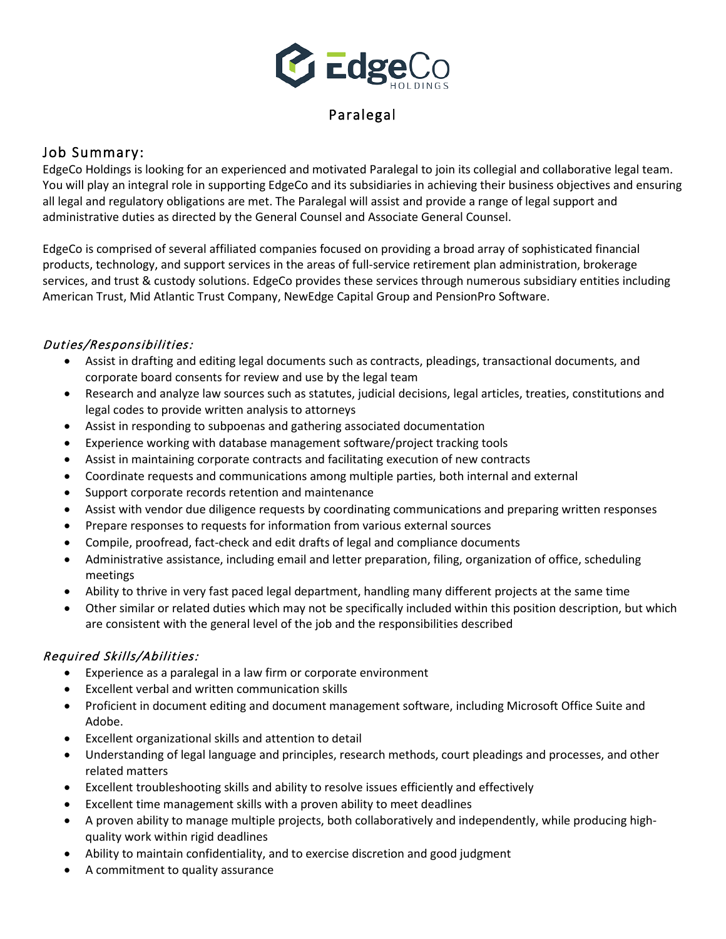

# Paralegal

## Job Summary:

EdgeCo Holdings is looking for an experienced and motivated Paralegal to join its collegial and collaborative legal team. You will play an integral role in supporting EdgeCo and its subsidiaries in achieving their business objectives and ensuring all legal and regulatory obligations are met. The Paralegal will assist and provide a range of legal support and administrative duties as directed by the General Counsel and Associate General Counsel.

EdgeCo is comprised of several affiliated companies focused on providing a broad array of sophisticated financial products, technology, and support services in the areas of full-service retirement plan administration, brokerage services, and trust & custody solutions. EdgeCo provides these services through numerous subsidiary entities including American Trust, Mid Atlantic Trust Company, NewEdge Capital Group and PensionPro Software.

### Duties/Responsibilities:

- Assist in drafting and editing legal documents such as contracts, pleadings, transactional documents, and corporate board consents for review and use by the legal team
- Research and analyze law sources such as statutes, judicial decisions, legal articles, treaties, constitutions and legal codes to provide written analysis to attorneys
- Assist in responding to subpoenas and gathering associated documentation
- Experience working with database management software/project tracking tools
- Assist in maintaining corporate contracts and facilitating execution of new contracts
- Coordinate requests and communications among multiple parties, both internal and external
- Support corporate records retention and maintenance
- Assist with vendor due diligence requests by coordinating communications and preparing written responses
- Prepare responses to requests for information from various external sources
- Compile, proofread, fact-check and edit drafts of legal and compliance documents
- Administrative assistance, including email and letter preparation, filing, organization of office, scheduling meetings
- Ability to thrive in very fast paced legal department, handling many different projects at the same time
- Other similar or related duties which may not be specifically included within this position description, but which are consistent with the general level of the job and the responsibilities described

#### Required Skills/Abilities:

- Experience as a paralegal in a law firm or corporate environment
- Excellent verbal and written communication skills
- Proficient in document editing and document management software, including Microsoft Office Suite and Adobe.
- Excellent organizational skills and attention to detail
- Understanding of legal language and principles, research methods, court pleadings and processes, and other related matters
- Excellent troubleshooting skills and ability to resolve issues efficiently and effectively
- Excellent time management skills with a proven ability to meet deadlines
- A proven ability to manage multiple projects, both collaboratively and independently, while producing highquality work within rigid deadlines
- Ability to maintain confidentiality, and to exercise discretion and good judgment
- A commitment to quality assurance